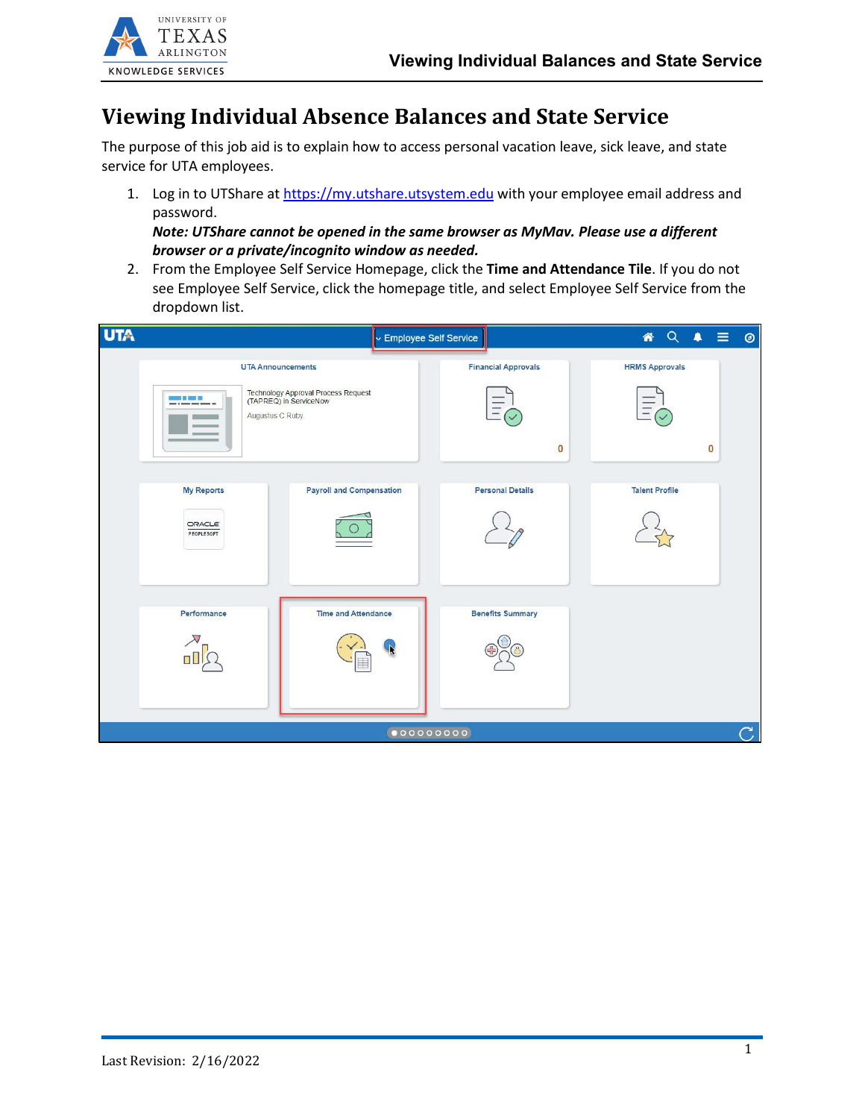

# **Viewing Individual Absence Balances and State Service**

The purpose of this job aid is to explain how to access personal vacation leave, sick leave, and state service for UTA employees.

1. Log in to UTShare a[t https://my.utshare.utsystem.edu](https://my.utshare.utsystem.edu/) with your employee email address and password.

*Note: UTShare cannot be opened in the same browser as MyMav. Please use a different browser or a private/incognito window as needed.*

2. From the Employee Self Service Homepage, click the **Time and Attendance Tile**. If you do not see Employee Self Service, click the homepage title, and select Employee Self Service from the dropdown list.

| <b>UTA</b> |                                           |                                                                                           | Employee Self Service                  | <b>A</b> Q A<br>$\equiv$<br>$\circledcirc$ |
|------------|-------------------------------------------|-------------------------------------------------------------------------------------------|----------------------------------------|--------------------------------------------|
|            | 33 B S. 3 E<br>Augustus C Ruby.           | <b>UTA Announcements</b><br>Technology Approval Process Request<br>(TAPREQ) in ServiceNow | <b>Financial Approvals</b><br>$\bf{0}$ | <b>HRMS Approvals</b><br>$\bf{0}$          |
|            | <b>My Reports</b><br>ORACLE<br>PEOPLESOFT | <b>Payroll and Compensation</b>                                                           | <b>Personal Details</b>                | <b>Talent Profile</b>                      |
|            | Performance                               | <b>Time and Attendance</b>                                                                | <b>Benefits Summary</b>                |                                            |
|            |                                           |                                                                                           | $\bullet$ 00000000                     | $\subset$                                  |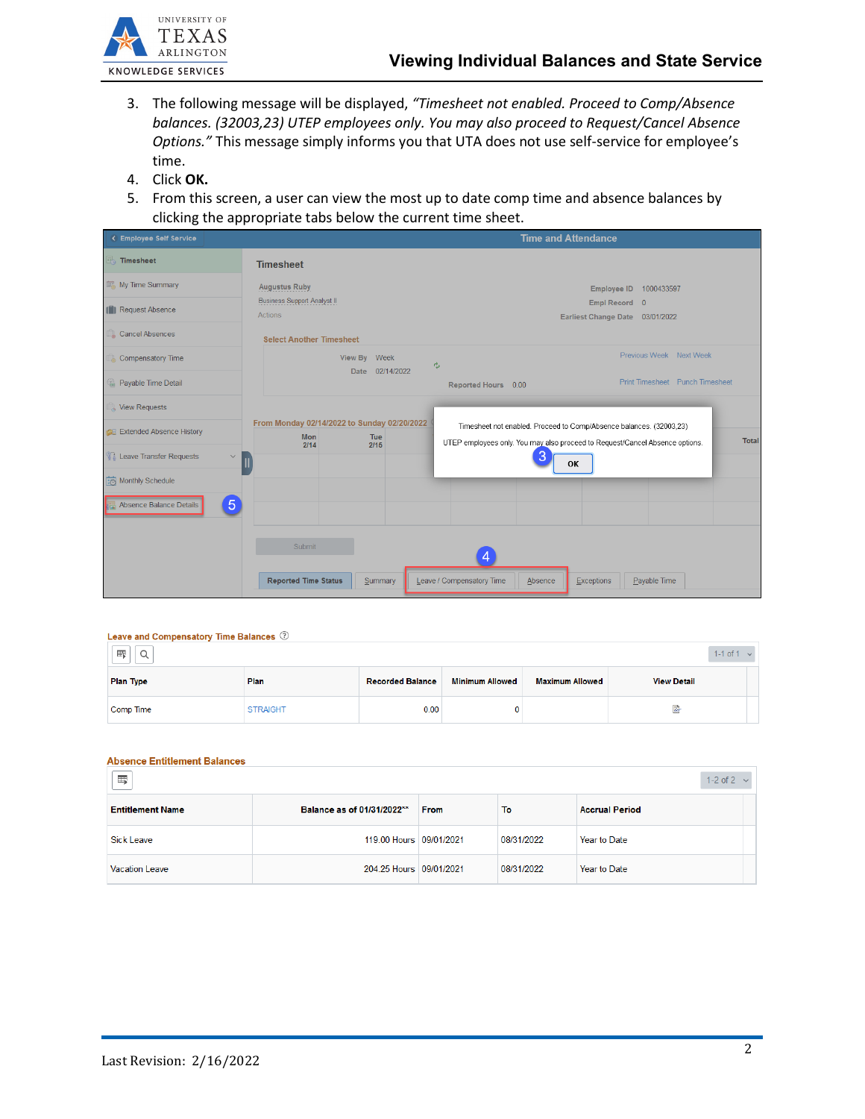

- 3. The following message will be displayed, *"Timesheet not enabled. Proceed to Comp/Absence balances. (32003,23) UTEP employees only. You may also proceed to Request/Cancel Absence Options."* This message simply informs you that UTA does not use self-service for employee's time.
- 4. Click **OK.**
- 5. From this screen, a user can view the most up to date comp time and absence balances by clicking the appropriate tabs below the current time sheet.

| < Employee Self Service                        |                                                                         | <b>Time and Attendance</b>                                                                                                                                          |
|------------------------------------------------|-------------------------------------------------------------------------|---------------------------------------------------------------------------------------------------------------------------------------------------------------------|
| <b>Timesheet</b>                               | <b>Timesheet</b>                                                        |                                                                                                                                                                     |
| My Time Summary                                | <b>Augustus Ruby</b>                                                    | Employee ID 1000433597                                                                                                                                              |
| [7] Request Absence                            | <b>Business Support Analyst II</b><br><b>Actions</b>                    | Empl Record 0<br>Earliest Change Date 03/01/2022                                                                                                                    |
| Cancel Absences                                | <b>Select Another Timesheet</b>                                         |                                                                                                                                                                     |
| <b>Compensatory Time</b>                       | View By Week                                                            | Previous Week Next Week<br>$r_{\omega}$                                                                                                                             |
| Payable Time Detail                            | Date 02/14/2022                                                         | Print Timesheet Punch Timesheet<br>Reported Hours 0.00                                                                                                              |
| View Requests                                  |                                                                         |                                                                                                                                                                     |
| <b>CE</b> Extended Absence History             | From Monday 02/14/2022 to Sunday 02/20/2022<br><b>Mon</b><br><b>Tue</b> | Timesheet not enabled. Proceed to Comp/Absence balances. (32003,23)<br><b>Total</b><br>UTEP employees only. You may also proceed to Request/Cancel Absence options. |
| <b>Leave Transfer Requests</b><br>$\checkmark$ | 2/14<br>2/15<br>Ш                                                       | 3<br>OK                                                                                                                                                             |
| Monthly Schedule                               |                                                                         |                                                                                                                                                                     |
| $\sqrt{5}$<br>Absence Balance Details          |                                                                         |                                                                                                                                                                     |
|                                                | Submit                                                                  |                                                                                                                                                                     |
|                                                | <b>Reported Time Status</b><br>Summary                                  | Leave / Compensatory Time<br>Absence<br>Payable Time<br>Exceptions                                                                                                  |

#### Leave and Compensatory Time Balances  $@$

| 压<br>⌒<br>u      |                 |                         |                        |                        |                    | $1 - 1$ of $1 \times$ |
|------------------|-----------------|-------------------------|------------------------|------------------------|--------------------|-----------------------|
| <b>Plan Type</b> | Plan            | <b>Recorded Balance</b> | <b>Minimum Allowed</b> | <b>Maximum Allowed</b> | <b>View Detail</b> |                       |
| Comp Time        | <b>STRAIGHT</b> | 0.00                    |                        |                        | læ.                |                       |

#### **Absence Entitlement Balances**

| $\overline{\mathbb{H}}$ |                            |             |            | 1-2 of $2 \sqrt{ }$   |
|-------------------------|----------------------------|-------------|------------|-----------------------|
| <b>Entitlement Name</b> | Balance as of 01/31/2022** | <b>From</b> | To         | <b>Accrual Period</b> |
| <b>Sick Leave</b>       | 119.00 Hours 09/01/2021    |             | 08/31/2022 | Year to Date          |
| Vacation Leave          | 204.25 Hours 09/01/2021    |             | 08/31/2022 | Year to Date          |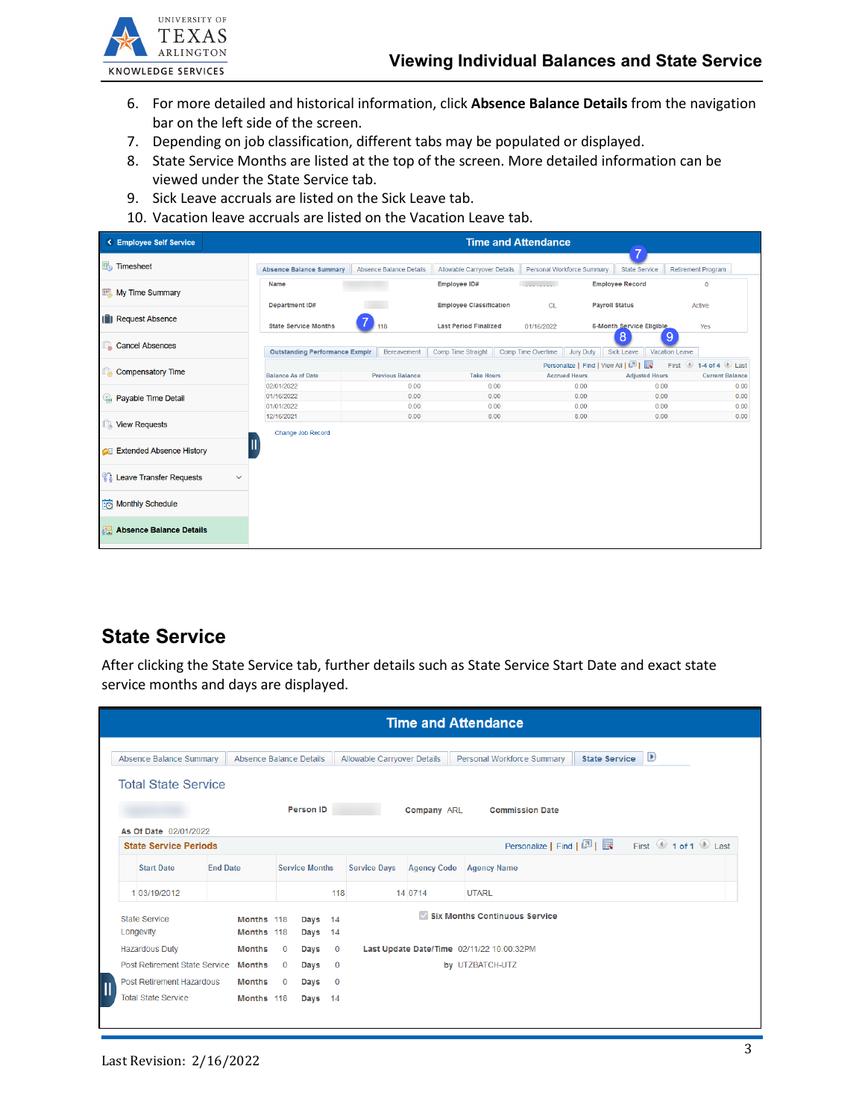

- 6. For more detailed and historical information, click **Absence Balance Details** from the navigation bar on the left side of the screen.
- 7. Depending on job classification, different tabs may be populated or displayed.
- 8. State Service Months are listed at the top of the screen. More detailed information can be viewed under the State Service tab.
- 9. Sick Leave accruals are listed on the Sick Leave tab.
- 10. Vacation leave accruals are listed on the Vacation Leave tab.

| < Employee Self Service                 | <b>Time and Attendance</b><br>$\overline{\phantom{a}}$           |                         |                                |                                                    |                                                              |                                                          |  |
|-----------------------------------------|------------------------------------------------------------------|-------------------------|--------------------------------|----------------------------------------------------|--------------------------------------------------------------|----------------------------------------------------------|--|
| Timesheet                               | <b>Absence Balance Summary</b><br><b>Absence Balance Details</b> |                         | Allowable Carryover Details    | Personal Workforce Summary<br><b>State Service</b> |                                                              | <b>Retirement Program</b>                                |  |
| <b>My Time Summary</b>                  | Name                                                             |                         | <b>Employee ID#</b>            | <b>Continued Bank</b>                              | <b>Employee Record</b>                                       | $\mathbf{0}$                                             |  |
| <b>ID</b> Request Absence               | <b>Department ID#</b>                                            |                         | <b>Employee Classification</b> | <b>CL</b>                                          | <b>Payroll Status</b>                                        | Active                                                   |  |
|                                         | <b>State Service Months</b>                                      | 118                     | <b>Last Period Finalized</b>   | 01/16/2022                                         | 6-Month Service Eligible<br>8<br>9                           | Yes                                                      |  |
| <b>Cancel Absences</b>                  | <b>Outstanding Performance Exmplr</b>                            | Bereavement             | Comp Time Straight             | Jury Duty<br>Comp Time Overtime                    | Sick Leave<br><b>Vacation Leave</b>                          |                                                          |  |
| Compensatory Time                       | <b>Balance As of Date</b>                                        | <b>Previous Balance</b> | <b>Take Hours</b>              | <b>Accrued Hours</b>                               | Personalize   Find   View All   2  <br><b>Adjusted Hours</b> | First $\bigcirc$ 1-4 of 4 Last<br><b>Current Balance</b> |  |
|                                         | 02/01/2022<br>01/16/2022                                         | 0.00<br>0.00            | 0.00<br>0.00                   | 0.00<br>0.00                                       | 0.00<br>0.00                                                 | 0.00<br>0.00                                             |  |
| Payable Time Detail                     | 01/01/2022                                                       | 0.00                    | 0.00                           | 0.00                                               | 0.00                                                         | 0.00                                                     |  |
| <b>TA View Requests</b>                 | 12/16/2021                                                       | 0.00                    | 8.00                           | 8.00                                               | 0.00                                                         | 0.00                                                     |  |
| <b>B</b> Extended Absence History       | Change Job Record                                                |                         |                                |                                                    |                                                              |                                                          |  |
| Leave Transfer Requests<br>$\checkmark$ |                                                                  |                         |                                |                                                    |                                                              |                                                          |  |
| Monthly Schedule                        |                                                                  |                         |                                |                                                    |                                                              |                                                          |  |
| Absence Balance Details                 |                                                                  |                         |                                |                                                    |                                                              |                                                          |  |

## **State Service**

After clicking the State Service tab, further details such as State Service Start Date and exact state service months and days are displayed.

| <b>Time and Attendance</b>                                                                                              |                                                                                                                                              |                 |                          |              |                       |                |                                                                 |         |                                                                                           |  |
|-------------------------------------------------------------------------------------------------------------------------|----------------------------------------------------------------------------------------------------------------------------------------------|-----------------|--------------------------|--------------|-----------------------|----------------|-----------------------------------------------------------------|---------|-------------------------------------------------------------------------------------------|--|
|                                                                                                                         | D<br>Absence Balance Summary<br>Absence Balance Details<br>Allowable Carryover Details<br>Personal Workforce Summary<br><b>State Service</b> |                 |                          |              |                       |                |                                                                 |         |                                                                                           |  |
| <b>Total State Service</b><br><b>Person ID</b><br><b>Company ARL</b><br><b>Commission Date</b><br>As Of Date 02/01/2022 |                                                                                                                                              |                 |                          |              |                       |                |                                                                 |         |                                                                                           |  |
|                                                                                                                         | <b>State Service Periods</b>                                                                                                                 |                 |                          |              |                       |                |                                                                 |         | First $\bigcirc$ 1 of 1 $\bigcirc$ Last<br><b>Personalize</b>   Find   <b>Personalize</b> |  |
|                                                                                                                         | <b>Start Date</b>                                                                                                                            | <b>End Date</b> |                          |              | <b>Service Months</b> |                | <b>Service Days</b><br><b>Agency Code</b><br><b>Agency Name</b> |         |                                                                                           |  |
|                                                                                                                         | 1 03/19/2012                                                                                                                                 |                 |                          |              |                       | 118            |                                                                 | 14 0714 | <b>UTARL</b>                                                                              |  |
|                                                                                                                         | State Service<br>Longevity                                                                                                                   |                 | Months 118<br>Months 118 |              | Days 14<br>Days 14    |                |                                                                 |         | <b>Six Months Continuous Service</b>                                                      |  |
|                                                                                                                         | <b>Hazardous Duty</b>                                                                                                                        |                 | <b>Months</b>            | $\mathbf{0}$ | Days                  | $\mathbf 0$    |                                                                 |         | Last Update Date/Time 02/11/22 10:00:32PM                                                 |  |
|                                                                                                                         | Post Retirement State Service                                                                                                                |                 | <b>Months</b>            | $\mathbf{0}$ | Days                  | $\overline{0}$ |                                                                 |         | by UTZBATCH-UTZ                                                                           |  |
|                                                                                                                         | Post Retirement Hazardous                                                                                                                    |                 | <b>Months</b>            | $\mathbf{0}$ | Days                  | $\overline{0}$ |                                                                 |         |                                                                                           |  |
|                                                                                                                         | <b>Total State Service</b>                                                                                                                   |                 | Months 118               |              | Days 14               |                |                                                                 |         |                                                                                           |  |
|                                                                                                                         |                                                                                                                                              |                 |                          |              |                       |                |                                                                 |         |                                                                                           |  |